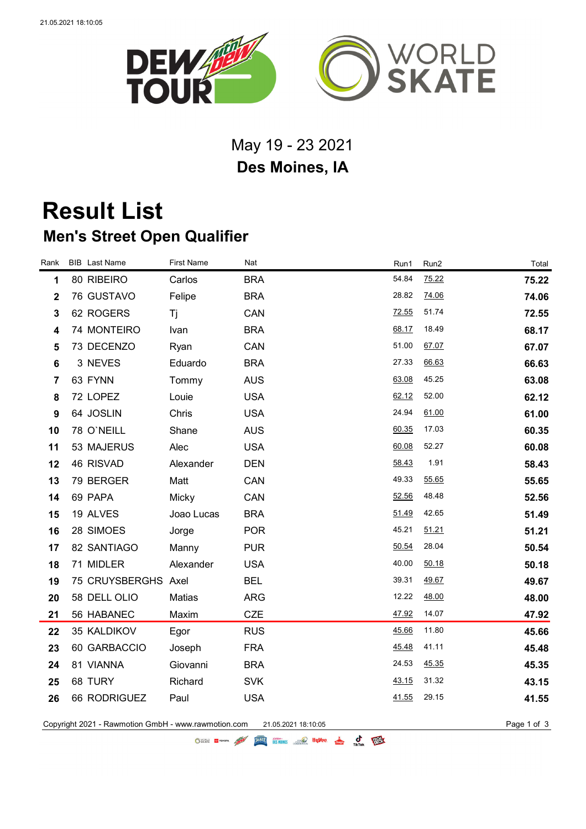

## May 19 - 23 2021 **Des Moines, IA**

## **Result List Men's Street Open Qualifier**

| Rank           | <b>BIB</b> Last Name | <b>First Name</b> | Nat        | Run1  | Run2  | Total |
|----------------|----------------------|-------------------|------------|-------|-------|-------|
| 1              | 80 RIBEIRO           | Carlos            | <b>BRA</b> | 54.84 | 75.22 | 75.22 |
| $\mathbf 2$    | 76 GUSTAVO           | Felipe            | <b>BRA</b> | 28.82 | 74.06 | 74.06 |
| $\mathbf{3}$   | 62 ROGERS            | Τj                | CAN        | 72.55 | 51.74 | 72.55 |
| 4              | 74 MONTEIRO          | Ivan              | <b>BRA</b> | 68.17 | 18.49 | 68.17 |
| 5              | 73 DECENZO           | Ryan              | CAN        | 51.00 | 67.07 | 67.07 |
| 6              | 3 NEVES              | Eduardo           | <b>BRA</b> | 27.33 | 66.63 | 66.63 |
| $\overline{7}$ | 63 FYNN              | Tommy             | <b>AUS</b> | 63.08 | 45.25 | 63.08 |
| 8              | 72 LOPEZ             | Louie             | <b>USA</b> | 62.12 | 52.00 | 62.12 |
| 9              | 64 JOSLIN            | Chris             | <b>USA</b> | 24.94 | 61.00 | 61.00 |
| 10             | 78 O'NEILL           | Shane             | <b>AUS</b> | 60.35 | 17.03 | 60.35 |
| 11             | 53 MAJERUS           | Alec              | <b>USA</b> | 60.08 | 52.27 | 60.08 |
| 12             | 46 RISVAD            | Alexander         | <b>DEN</b> | 58.43 | 1.91  | 58.43 |
| 13             | 79 BERGER            | Matt              | CAN        | 49.33 | 55.65 | 55.65 |
| 14             | 69 PAPA              | Micky             | CAN        | 52.56 | 48.48 | 52.56 |
| 15             | 19 ALVES             | Joao Lucas        | <b>BRA</b> | 51.49 | 42.65 | 51.49 |
| 16             | 28 SIMOES            | Jorge             | <b>POR</b> | 45.21 | 51.21 | 51.21 |
| 17             | 82 SANTIAGO          | Manny             | <b>PUR</b> | 50.54 | 28.04 | 50.54 |
| 18             | 71 MIDLER            | Alexander         | <b>USA</b> | 40.00 | 50.18 | 50.18 |
| 19             | 75 CRUYSBERGHS Axel  |                   | <b>BEL</b> | 39.31 | 49.67 | 49.67 |
| 20             | 58 DELL OLIO         | Matias            | <b>ARG</b> | 12.22 | 48.00 | 48.00 |
| 21             | 56 HABANEC           | Maxim             | CZE        | 47.92 | 14.07 | 47.92 |
| 22             | 35 KALDIKOV          | Egor              | <b>RUS</b> | 45.66 | 11.80 | 45.66 |
| 23             | 60 GARBACCIO         | Joseph            | <b>FRA</b> | 45.48 | 41.11 | 45.48 |
| 24             | 81 VIANNA            | Giovanni          | <b>BRA</b> | 24.53 | 45.35 | 45.35 |
| 25             | 68 TURY              | Richard           | <b>SVK</b> | 43.15 | 31.32 | 43.15 |
| 26             | 66 RODRIGUEZ         | Paul              | <b>USA</b> | 41.55 | 29.15 | 41.55 |
|                |                      |                   |            |       |       |       |

Copyright 2021 - Rawmotion GmbH - www.rawmotion.com 21.05.2021 18:10:05 example 2010 13 Page 1 of 3

OSCRE EL TOYOTA AND ELECTRIC SESSIONES SOLO HUVOR A C TEXT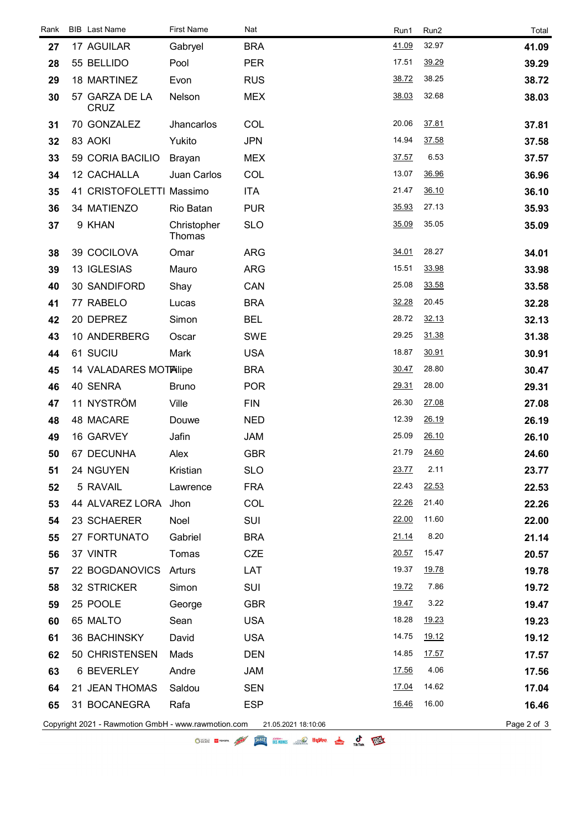| Rank | <b>BIB</b> Last Name                                | <b>First Name</b>     | Nat                 | Run1  | Run2         | Total       |
|------|-----------------------------------------------------|-----------------------|---------------------|-------|--------------|-------------|
| 27   | 17 AGUILAR                                          | Gabryel               | <b>BRA</b>          | 41.09 | 32.97        | 41.09       |
| 28   | 55 BELLIDO                                          | Pool                  | <b>PER</b>          | 17.51 | 39.29        | 39.29       |
| 29   | 18 MARTINEZ                                         | Evon                  | <b>RUS</b>          | 38.72 | 38.25        | 38.72       |
| 30   | 57 GARZA DE LA<br>CRUZ                              | Nelson                | <b>MEX</b>          | 38.03 | 32.68        | 38.03       |
| 31   | 70 GONZALEZ                                         | Jhancarlos            | COL                 | 20.06 | 37.81        | 37.81       |
| 32   | 83 AOKI                                             | Yukito                | <b>JPN</b>          | 14.94 | 37.58        | 37.58       |
| 33   | 59 CORIA BACILIO                                    | <b>Brayan</b>         | <b>MEX</b>          | 37.57 | 6.53         | 37.57       |
| 34   | 12 CACHALLA                                         | Juan Carlos           | COL                 | 13.07 | 36.96        | 36.96       |
| 35   | 41 CRISTOFOLETTI Massimo                            |                       | <b>ITA</b>          | 21.47 | 36.10        | 36.10       |
| 36   | 34 MATIENZO                                         | Rio Batan             | <b>PUR</b>          | 35.93 | 27.13        | 35.93       |
| 37   | 9 KHAN                                              | Christopher<br>Thomas | <b>SLO</b>          | 35.09 | 35.05        | 35.09       |
| 38   | 39 COCILOVA                                         | Omar                  | <b>ARG</b>          | 34.01 | 28.27        | 34.01       |
| 39   | 13 IGLESIAS                                         | Mauro                 | <b>ARG</b>          | 15.51 | 33.98        | 33.98       |
| 40   | 30 SANDIFORD                                        | Shay                  | CAN                 | 25.08 | 33.58        | 33.58       |
| 41   | 77 RABELO                                           | Lucas                 | <b>BRA</b>          | 32.28 | 20.45        | 32.28       |
| 42   | 20 DEPREZ                                           | Simon                 | <b>BEL</b>          | 28.72 | 32.13        | 32.13       |
| 43   | 10 ANDERBERG                                        | Oscar                 | <b>SWE</b>          | 29.25 | 31.38        | 31.38       |
| 44   | 61 SUCIU                                            | Mark                  | <b>USA</b>          | 18.87 | 30.91        | 30.91       |
| 45   | 14 VALADARES MOTAlipe                               |                       | <b>BRA</b>          | 30.47 | 28.80        | 30.47       |
| 46   | 40 SENRA                                            | <b>Bruno</b>          | <b>POR</b>          | 29.31 | 28.00        | 29.31       |
| 47   | 11 NYSTRÖM                                          | Ville                 | <b>FIN</b>          | 26.30 | 27.08        | 27.08       |
| 48   | 48 MACARE                                           | Douwe                 | <b>NED</b>          | 12.39 | 26.19        | 26.19       |
| 49   | 16 GARVEY                                           | Jafin                 | <b>JAM</b>          | 25.09 | 26.10        | 26.10       |
| 50   | 67 DECUNHA                                          | Alex                  | <b>GBR</b>          | 21.79 | 24.60        | 24.60       |
| 51   | 24 NGUYEN                                           | Kristian              | <b>SLO</b>          | 23.77 | 2.11         | 23.77       |
| 52   | 5 RAVAIL                                            | Lawrence              | <b>FRA</b>          | 22.43 | 22.53        | 22.53       |
| 53   | 44 ALVAREZ LORA Jhon                                |                       | COL                 | 22.26 | 21.40        | 22.26       |
| 54   | 23 SCHAERER                                         | Noel                  | <b>SUI</b>          | 22.00 | 11.60        | 22.00       |
| 55   | 27 FORTUNATO                                        | Gabriel               | <b>BRA</b>          | 21.14 | 8.20         | 21.14       |
| 56   | 37 VINTR                                            | Tomas                 | <b>CZE</b>          | 20.57 | 15.47        | 20.57       |
| 57   | 22 BOGDANOVICS                                      | Arturs                | LAT                 | 19.37 | <u>19.78</u> | 19.78       |
| 58   | 32 STRICKER                                         | Simon                 | <b>SUI</b>          | 19.72 | 7.86         | 19.72       |
| 59   | 25 POOLE                                            | George                | <b>GBR</b>          | 19.47 | 3.22         | 19.47       |
| 60   | 65 MALTO                                            | Sean                  | <b>USA</b>          | 18.28 | 19.23        | 19.23       |
| 61   | 36 BACHINSKY                                        | David                 | <b>USA</b>          | 14.75 | 19.12        | 19.12       |
| 62   | 50 CHRISTENSEN                                      | Mads                  | <b>DEN</b>          | 14.85 | 17.57        | 17.57       |
| 63   | 6 BEVERLEY                                          | Andre                 | <b>JAM</b>          | 17.56 | 4.06         | 17.56       |
| 64   | 21 JEAN THOMAS                                      | Saldou                | <b>SEN</b>          | 17.04 | 14.62        | 17.04       |
| 65   | 31 BOCANEGRA                                        | Rafa                  | <b>ESP</b>          | 16.46 | 16.00        | 16.46       |
|      | Copyright 2021 - Rawmotion GmbH - www.rawmotion.com |                       | 21.05.2021 18:10:06 |       |              | Page 2 of 3 |

O STATE IN 1999 AND THE STATE STATE OF THE COMPANY OF THE COMPANY OF THE COMPANY OF THE COMPANY OF THE COMPANY OF THE COMPANY OF THE COMPANY OF THE COMPANY OF THE COMPANY OF THE COMPANY OF THE COMPANY OF THE COMPANY OF THE